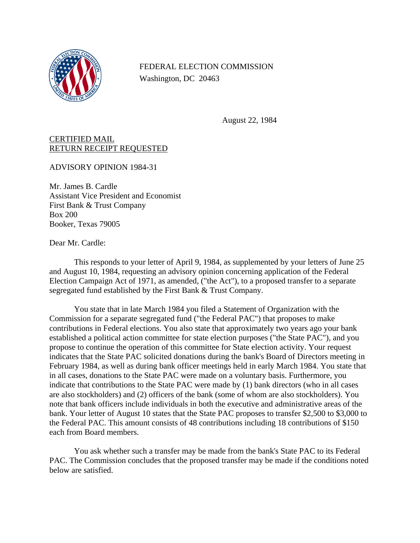

FEDERAL ELECTION COMMISSION Washington, DC 20463

August 22, 1984

## CERTIFIED MAIL RETURN RECEIPT REQUESTED

ADVISORY OPINION 1984-31

Mr. James B. Cardle Assistant Vice President and Economist First Bank & Trust Company Box 200 Booker, Texas 79005

Dear Mr. Cardle:

This responds to your letter of April 9, 1984, as supplemented by your letters of June 25 and August 10, 1984, requesting an advisory opinion concerning application of the Federal Election Campaign Act of 1971, as amended, ("the Act"), to a proposed transfer to a separate segregated fund established by the First Bank & Trust Company.

You state that in late March 1984 you filed a Statement of Organization with the Commission for a separate segregated fund ("the Federal PAC") that proposes to make contributions in Federal elections. You also state that approximately two years ago your bank established a political action committee for state election purposes ("the State PAC"), and you propose to continue the operation of this committee for State election activity. Your request indicates that the State PAC solicited donations during the bank's Board of Directors meeting in February 1984, as well as during bank officer meetings held in early March 1984. You state that in all cases, donations to the State PAC were made on a voluntary basis. Furthermore, you indicate that contributions to the State PAC were made by (1) bank directors (who in all cases are also stockholders) and (2) officers of the bank (some of whom are also stockholders). You note that bank officers include individuals in both the executive and administrative areas of the bank. Your letter of August 10 states that the State PAC proposes to transfer \$2,500 to \$3,000 to the Federal PAC. This amount consists of 48 contributions including 18 contributions of \$150 each from Board members.

You ask whether such a transfer may be made from the bank's State PAC to its Federal PAC. The Commission concludes that the proposed transfer may be made if the conditions noted below are satisfied.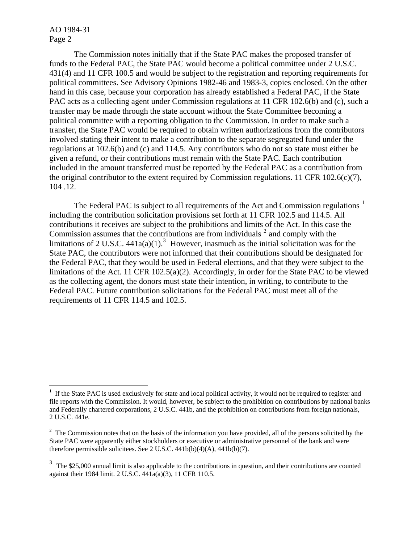AO 1984-31 Page 2

<u>.</u>

The Commission notes initially that if the State PAC makes the proposed transfer of funds to the Federal PAC, the State PAC would become a political committee under 2 U.S.C. 431(4) and 11 CFR 100.5 and would be subject to the registration and reporting requirements for political committees. See Advisory Opinions 1982-46 and 1983-3, copies enclosed. On the other hand in this case, because your corporation has already established a Federal PAC, if the State PAC acts as a collecting agent under Commission regulations at 11 CFR 102.6(b) and (c), such a transfer may be made through the state account without the State Committee becoming a political committee with a reporting obligation to the Commission. In order to make such a transfer, the State PAC would be required to obtain written authorizations from the contributors involved stating their intent to make a contribution to the separate segregated fund under the regulations at 102.6(b) and (c) and 114.5. Any contributors who do not so state must either be given a refund, or their contributions must remain with the State PAC. Each contribution included in the amount transferred must be reported by the Federal PAC as a contribution from the original contributor to the extent required by Commission regulations. 11 CFR 102.6(c)(7), 104 .12.

The Federal PAC is subject to all requirements of the Act and Commission regulations  $<sup>1</sup>$  $<sup>1</sup>$  $<sup>1</sup>$ </sup> including the contribution solicitation provisions set forth at 11 CFR 102.5 and 114.5. All contributions it receives are subject to the prohibitions and limits of the Act. In this case the Commission assumes that the contributions are from individuals  $2$  and comply with the limitations of 2 U.S.C.  $441a(a)(1)$ .<sup>[3](#page-1-2)</sup> However, inasmuch as the initial solicitation was for the State PAC, the contributors were not informed that their contributions should be designated for the Federal PAC, that they would be used in Federal elections, and that they were subject to the limitations of the Act. 11 CFR 102.5(a)(2). Accordingly, in order for the State PAC to be viewed as the collecting agent, the donors must state their intention, in writing, to contribute to the Federal PAC. Future contribution solicitations for the Federal PAC must meet all of the requirements of 11 CFR 114.5 and 102.5.

<span id="page-1-0"></span><sup>&</sup>lt;sup>1</sup> If the State PAC is used exclusively for state and local political activity, it would not be required to register and file reports with the Commission. It would, however, be subject to the prohibition on contributions by national banks and Federally chartered corporations, 2 U.S.C. 441b, and the prohibition on contributions from foreign nationals, 2 U.S.C. 441e.

<span id="page-1-1"></span> $2<sup>2</sup>$  The Commission notes that on the basis of the information you have provided, all of the persons solicited by the State PAC were apparently either stockholders or executive or administrative personnel of the bank and were therefore permissible solicitees. See 2 U.S.C. 441b(b)(4)(A), 441b(b)(7).

<span id="page-1-2"></span> $3$  The \$25,000 annual limit is also applicable to the contributions in question, and their contributions are counted against their 1984 limit. 2 U.S.C. 441a(a)(3), 11 CFR 110.5.